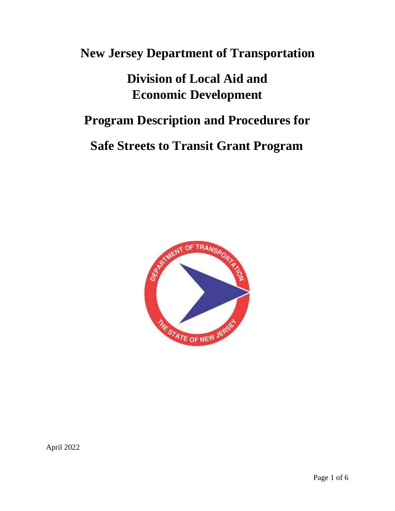# **New Jersey Department of Transportation**

# **Division of Local Aid and Economic Development**

# **Program Description and Procedures for**

# **Safe Streets to Transit Grant Program**



April 2022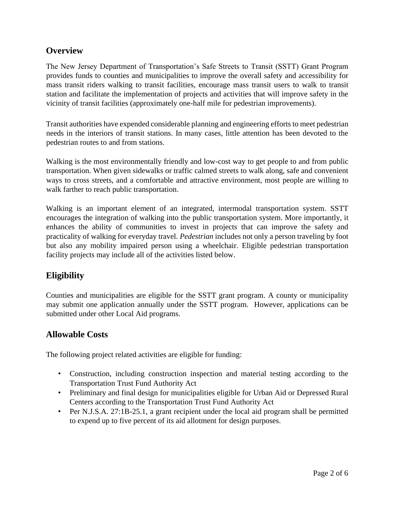## **Overview**

The New Jersey Department of Transportation's Safe Streets to Transit (SSTT) Grant Program provides funds to counties and municipalities to improve the overall safety and accessibility for mass transit riders walking to transit facilities, encourage mass transit users to walk to transit station and facilitate the implementation of projects and activities that will improve safety in the vicinity of transit facilities (approximately one-half mile for pedestrian improvements).

Transit authorities have expended considerable planning and engineering efforts to meet pedestrian needs in the interiors of transit stations. In many cases, little attention has been devoted to the pedestrian routes to and from stations.

Walking is the most environmentally friendly and low-cost way to get people to and from public transportation. When given sidewalks or traffic calmed streets to walk along, safe and convenient ways to cross streets, and a comfortable and attractive environment, most people are willing to walk farther to reach public transportation.

Walking is an important element of an integrated, intermodal transportation system. SSTT encourages the integration of walking into the public transportation system. More importantly, it enhances the ability of communities to invest in projects that can improve the safety and practicality of walking for everyday travel. *Pedestrian* includes not only a person traveling by foot but also any mobility impaired person using a wheelchair. Eligible pedestrian transportation facility projects may include all of the activities listed below.

## **Eligibility**

Counties and municipalities are eligible for the SSTT grant program. A county or municipality may submit o[ne application an](http://www.state.nj.us/transportation/business/localaid/forms.shtm)nually under the SSTT program. However, applications can be submitted under other Local Aid programs.

#### **Allowable Costs**

The following project related activities are eligible for funding:

- Construction, including construction inspection and material testing according to the Transportation Trust Fund Authority Act
- Preliminary and final design for municipalities eligible for Urban Aid or Depressed Rural Centers according to the Transportation Trust Fund Authority Act
- Per N.J.S.A. 27:1B-25.1, a grant recipient under the local aid program shall be permitted to expend up to five percent of its aid allotment for design purposes.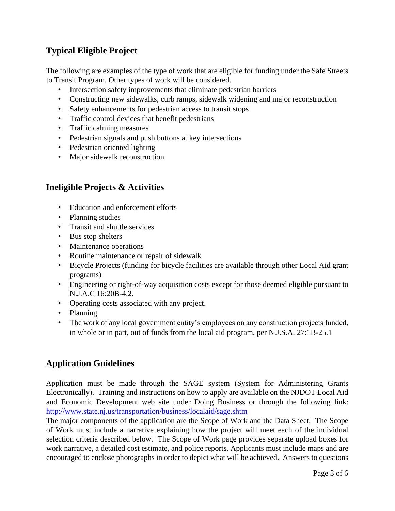## **Typical Eligible Project**

The following are examples of the type of work that are eligible for funding under the Safe Streets to Transit Program. Other types of work will be considered.

- Intersection safety improvements that eliminate pedestrian barriers
- Constructing new sidewalks, curb ramps, sidewalk widening and major reconstruction
- Safety enhancements for pedestrian access to transit stops
- Traffic control devices that benefit pedestrians
- Traffic calming measures
- Pedestrian signals and push buttons at key intersections
- Pedestrian oriented lighting
- Major sidewalk reconstruction

## **Ineligible Projects & Activities**

- Education and enforcement efforts
- Planning studies
- Transit and shuttle services
- Bus stop shelters
- Maintenance operations
- Routine maintenance or repair of sidewalk
- Bicycle Projects (funding for bicycle facilities are available through other Local Aid grant programs)
- Engineering or right-of-way acquisition costs except for those deemed eligible pursuant to N.J.A.C 16:20B-4.2.
- Operating costs associated with any project.
- Planning
- The work of any local government entity's employees on any construction projects funded, in whole or in part, out of funds from the local aid program, per N.J.S.A. 27:1B-25.1

## **Application Guidelines**

Application must be made through the SAGE system (System for Administering Grants Electronically). Training and instructions on how to apply are available on the NJDOT Local Aid and Economic Development web site under Doing Business or through the following link: <http://www.state.nj.us/transportation/business/localaid/sage.shtm>

The major components of the application are the Scope of Work and the Data Sheet. The Scope of Work must include a narrative explaining how the project will meet each of the individual selection criteria described below. The Scope of Work page provides separate upload boxes for work narrative, a detailed cost estimate, and police reports. Applicants must include maps and are encouraged to enclose photographs in order to depict what will be achieved. Answers to questions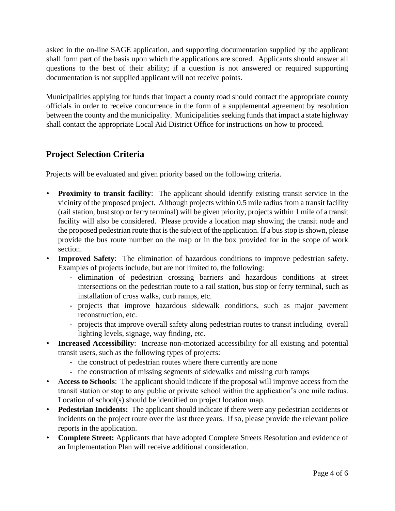asked in the on-line SAGE application, and supporting documentation supplied by the applicant shall form part of the basis upon which the applications are scored. Applicants should answer all questions to the best of their ability; if a question is not answered or required supporting documentation is not supplied applicant will not receive points.

Municipalities applying for funds that impact a county road should contact the appropriate county officials in order to receive concurrence in the form of a supplemental agreement by resolution between the county and the municipality. Municipalities seeking funds that impact a state highway shall contact the appropriate Local Aid District Office for instructions on how to proceed.

## **Project Selection Criteria**

Projects will be evaluated and given priority based on the following criteria.

- **Proximity to transit facility:** The applicant should identify existing transit service in the vicinity of the proposed project. Although projects within 0.5 mile radius from a transit facility (rail station, bust stop or ferry terminal) will be given priority, projects within 1 mile of a transit facility will also be considered. Please provide a location map showing the transit node and the proposed pedestrian route that is the subject of the application. If a bus stop is shown, please provide the bus route number on the map or in the box provided for in the scope of work section.
- **Improved Safety**: The elimination of hazardous conditions to improve pedestrian safety. Examples of projects include, but are not limited to, the following:
	- **-** elimination of pedestrian crossing barriers and hazardous conditions at street intersections on the pedestrian route to a rail station, bus stop or ferry terminal, such as installation of cross walks, curb ramps, etc.
	- **-** projects that improve hazardous sidewalk conditions, such as major pavement reconstruction, etc.
	- **-** projects that improve overall safety along pedestrian routes to transit including overall lighting levels, signage, way finding, etc.
- **Increased Accessibility**:Increase non-motorized accessibility for all existing and potential transit users, such as the following types of projects:
	- **-** the construct of pedestrian routes where there currently are none
	- **-** the construction of missing segments of sidewalks and missing curb ramps
- **Access to Schools**: The applicant should indicate if the proposal will improve access from the transit station or stop to any public or private school within the application's one mile radius. Location of school(s) should be identified on project location map.
- **Pedestrian Incidents:** The applicant should indicate if there were any pedestrian accidents or incidents on the project route over the last three years. If so, please provide the relevant police reports in the application.
- **Complete Street:** Applicants that have adopted Complete Streets Resolution and evidence of an Implementation Plan will receive additional consideration.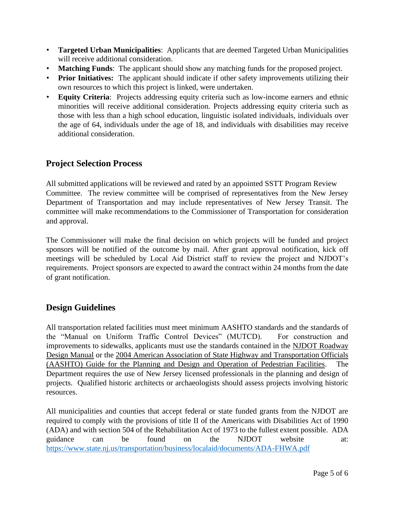- **Targeted Urban Municipalities**: Applicants that are deemed Targeted Urban Municipalities will receive additional consideration.
- **Matching Funds**: The applicant should show any matching funds for the proposed project.
- **Prior Initiatives:** The applicant should indicate if other safety improvements utilizing their own resources to which this project is linked, were undertaken.
- **Equity Criteria:** Projects addressing equity criteria such as low-income earners and ethnic minorities will receive additional consideration. Projects addressing equity criteria such as those with less than a high school education, linguistic isolated individuals, individuals over the age of 64, individuals under the age of 18, and individuals with disabilities may receive additional consideration.

#### **Project Selection Process**

All submitted applications will be reviewed and rated by an appointed SSTT Program Review Committee. The review committee will be comprised of representatives from the New Jersey Department of Transportation and may include representatives of New Jersey Transit. The committee will make recommendations to the Commissioner of Transportation for consideration and approval.

The Commissioner will make the final decision on which projects will be funded and project sponsors will be notified of the outcome by mail. After grant approval notification, kick off meetings will be scheduled by Local Aid District staff to review the project and NJDOT's requirements. Project sponsors are expected to award the contract within 24 months from the date of grant notification.

#### **Design Guidelines**

All transportation related facilities must meet minimum AASHTO standards and the standards of the "Manual on Uniform Traffic Control Devices" (MUTCD). For construction and improvements to sidewalks, applicants must use the standards contained in the NJDOT Roadway Design Manual or the 2004 American Association of State Highway and Transportation Officials (AASHTO) Guide for the Planning and Design and Operation of Pedestrian Facilities. The Department requires the use of New Jersey licensed professionals in the planning and design of projects. Qualified historic architects or archaeologists should assess projects involving historic resources.

All municipalities and counties that accept federal or state funded grants from the NJDOT are required to comply with the provisions of title II of the Americans with Disabilities Act of 1990 (ADA) and with section 504 of the Rehabilitation Act of 1973 to the fullest extent possible. ADA guidance can be found on the NJDOT website at: <https://www.state.nj.us/transportation/business/localaid/documents/ADA-FHWA.pdf>